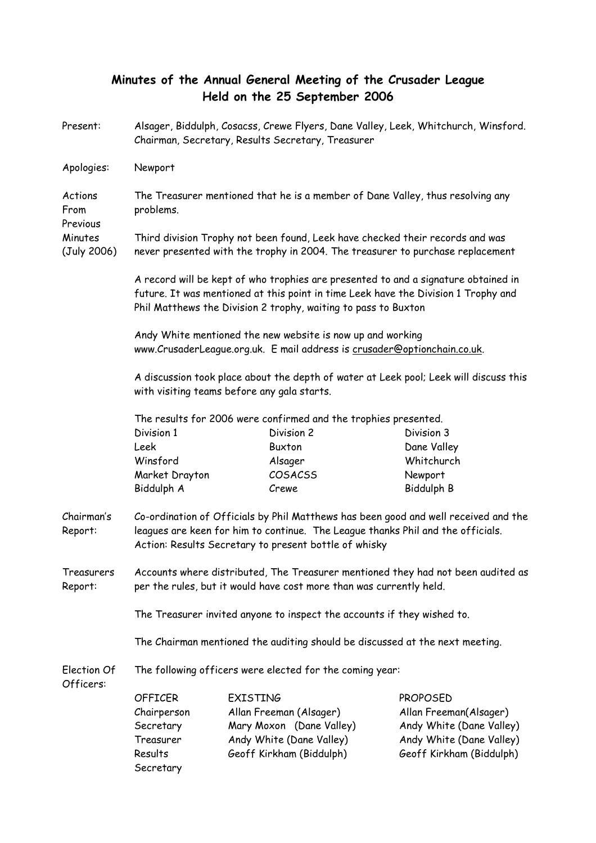## Minutes of the Annual General Meeting of the Crusader League Held on the 25 September 2006

| Present:                    | Alsager, Biddulph, Cosacss, Crewe Flyers, Dane Valley, Leek, Whitchurch, Winsford.<br>Chairman, Secretary, Results Secretary, Treasurer                                                                                                    |                          |  |                          |  |
|-----------------------------|--------------------------------------------------------------------------------------------------------------------------------------------------------------------------------------------------------------------------------------------|--------------------------|--|--------------------------|--|
| Apologies:                  | Newport                                                                                                                                                                                                                                    |                          |  |                          |  |
| Actions<br>From<br>Previous | The Treasurer mentioned that he is a member of Dane Valley, thus resolving any<br>problems.                                                                                                                                                |                          |  |                          |  |
| Minutes<br>(July 2006)      | Third division Trophy not been found, Leek have checked their records and was<br>never presented with the trophy in 2004. The treasurer to purchase replacement                                                                            |                          |  |                          |  |
|                             | A record will be kept of who trophies are presented to and a signature obtained in<br>future. It was mentioned at this point in time Leek have the Division 1 Trophy and<br>Phil Matthews the Division 2 trophy, waiting to pass to Buxton |                          |  |                          |  |
|                             | Andy White mentioned the new website is now up and working<br>www.CrusaderLeague.org.uk. E mail address is crusader@optionchain.co.uk.                                                                                                     |                          |  |                          |  |
|                             | A discussion took place about the depth of water at Leek pool; Leek will discuss this<br>with visiting teams before any gala starts.                                                                                                       |                          |  |                          |  |
|                             | The results for 2006 were confirmed and the trophies presented.                                                                                                                                                                            |                          |  |                          |  |
|                             | Division 1                                                                                                                                                                                                                                 | Division 2               |  | Division 3               |  |
|                             | Leek                                                                                                                                                                                                                                       | Buxton                   |  | Dane Valley              |  |
|                             | Winsford                                                                                                                                                                                                                                   | Alsager                  |  | Whitchurch               |  |
|                             | Market Drayton                                                                                                                                                                                                                             | COSACSS                  |  | Newport                  |  |
|                             | Biddulph A                                                                                                                                                                                                                                 | Crewe                    |  | <b>Biddulph B</b>        |  |
| Chairman's<br>Report:       | Co-ordination of Officials by Phil Matthews has been good and well received and the<br>leagues are keen for him to continue. The League thanks Phil and the officials.<br>Action: Results Secretary to present bottle of whisky            |                          |  |                          |  |
| Treasurers<br>Report:       | Accounts where distributed, The Treasurer mentioned they had not been audited as<br>per the rules, but it would have cost more than was currently held.                                                                                    |                          |  |                          |  |
|                             | The Treasurer invited anyone to inspect the accounts if they wished to.                                                                                                                                                                    |                          |  |                          |  |
|                             | The Chairman mentioned the auditing should be discussed at the next meeting.                                                                                                                                                               |                          |  |                          |  |
| Election Of<br>Officers:    | The following officers were elected for the coming year:                                                                                                                                                                                   |                          |  |                          |  |
|                             | <b>OFFICER</b>                                                                                                                                                                                                                             | <b>EXISTING</b>          |  | <b>PROPOSED</b>          |  |
|                             | Chairperson                                                                                                                                                                                                                                | Allan Freeman (Alsager)  |  | Allan Freeman(Alsager)   |  |
|                             | Secretary                                                                                                                                                                                                                                  | Mary Moxon (Dane Valley) |  | Andy White (Dane Valley) |  |
|                             | Treasurer                                                                                                                                                                                                                                  | Andy White (Dane Valley) |  | Andy White (Dane Valley) |  |
|                             | Results                                                                                                                                                                                                                                    | Geoff Kirkham (Biddulph) |  | Geoff Kirkham (Biddulph) |  |
|                             | Secretary                                                                                                                                                                                                                                  |                          |  |                          |  |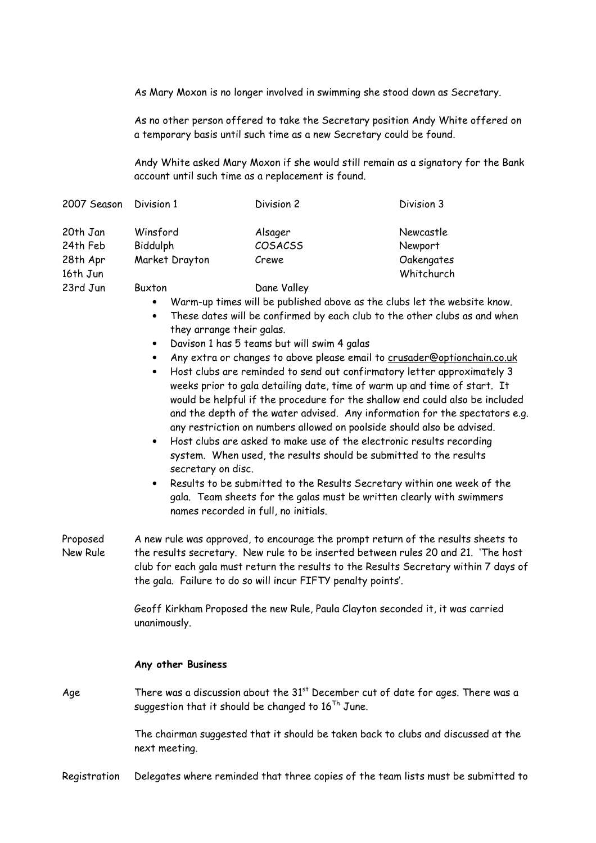As Mary Moxon is no longer involved in swimming she stood down as Secretary.

As no other person offered to take the Secretary position Andy White offered on a temporary basis until such time as a new Secretary could be found.

Andy White asked Mary Moxon if she would still remain as a signatory for the Bank account until such time as a replacement is found.

| 2007 Season Division 1 |                | Division 2  | Division 3 |
|------------------------|----------------|-------------|------------|
| 20th Jan               | Winsford       | Alsager     | Newcastle  |
| 24th Feb               | Biddulph       | COSACSS     | Newport    |
| 28th Apr               | Market Drayton | Crewe       | Oakengates |
| 16th Jun               |                |             | Whitchurch |
| 23rd Jun               | Buxton         | Dane Valley |            |

- Warm-up times will be published above as the clubs let the website know.
- These dates will be confirmed by each club to the other clubs as and when they arrange their galas.
- Davison 1 has 5 teams but will swim 4 galas
- Any extra or changes to above please email to crusader@optionchain.co.uk
- Host clubs are reminded to send out confirmatory letter approximately 3 weeks prior to gala detailing date, time of warm up and time of start. It would be helpful if the procedure for the shallow end could also be included and the depth of the water advised. Any information for the spectators e.g. any restriction on numbers allowed on poolside should also be advised.
- Host clubs are asked to make use of the electronic results recording system. When used, the results should be submitted to the results secretary on disc.
- Results to be submitted to the Results Secretary within one week of the gala. Team sheets for the galas must be written clearly with swimmers names recorded in full, no initials.
- Proposed New Rule A new rule was approved, to encourage the prompt return of the results sheets to the results secretary. New rule to be inserted between rules 20 and 21. 'The host club for each gala must return the results to the Results Secretary within 7 days of the gala. Failure to do so will incur FIFTY penalty points'.

Geoff Kirkham Proposed the new Rule, Paula Clayton seconded it, it was carried unanimously.

## Any other Business

Age There was a discussion about the  $31<sup>st</sup>$  December cut of date for ages. There was a suggestion that it should be changed to  $16^{Th}$  June.

> The chairman suggested that it should be taken back to clubs and discussed at the next meeting.

Registration Delegates where reminded that three copies of the team lists must be submitted to